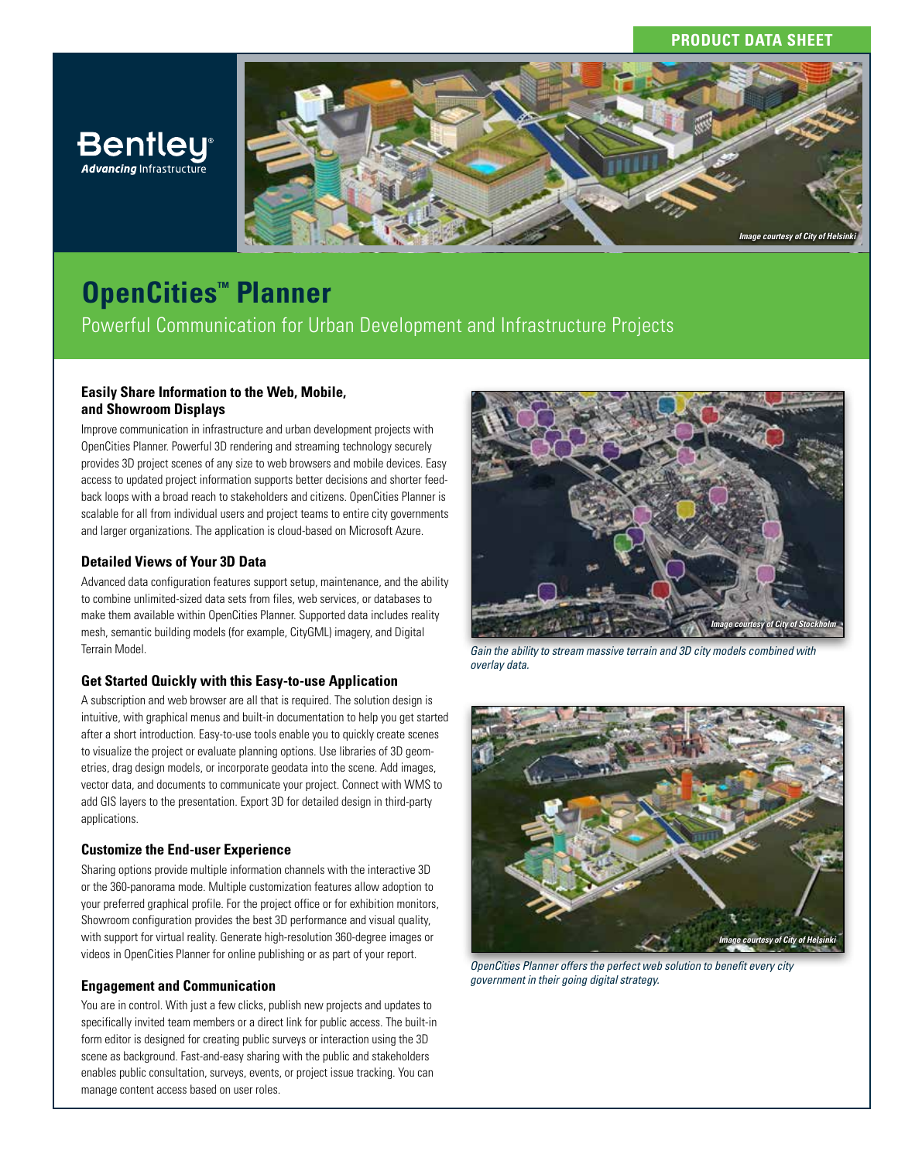# **PRODUCT DATA SHEET**



# **OpenCities™ Planner**

Bentley®

Powerful Communication for Urban Development and Infrastructure Projects

## **Easily Share Information to the Web, Mobile, and Showroom Displays**

Improve communication in infrastructure and urban development projects with OpenCities Planner. Powerful 3D rendering and streaming technology securely provides 3D project scenes of any size to web browsers and mobile devices. Easy access to updated project information supports better decisions and shorter feedback loops with a broad reach to stakeholders and citizens. OpenCities Planner is scalable for all from individual users and project teams to entire city governments and larger organizations. The application is cloud-based on Microsoft Azure.

### **Detailed Views of Your 3D Data**

Advanced data configuration features support setup, maintenance, and the ability to combine unlimited-sized data sets from files, web services, or databases to make them available within OpenCities Planner. Supported data includes reality mesh, semantic building models (for example, CityGML) imagery, and Digital Terrain Model.

#### **Get Started Quickly with this Easy-to-use Application**

A subscription and web browser are all that is required. The solution design is intuitive, with graphical menus and built-in documentation to help you get started after a short introduction. Easy-to-use tools enable you to quickly create scenes to visualize the project or evaluate planning options. Use libraries of 3D geometries, drag design models, or incorporate geodata into the scene. Add images, vector data, and documents to communicate your project. Connect with WMS to add GIS layers to the presentation. Export 3D for detailed design in third-party applications.

#### **Customize the End-user Experience**

Sharing options provide multiple information channels with the interactive 3D or the 360-panorama mode. Multiple customization features allow adoption to your preferred graphical profile. For the project office or for exhibition monitors, Showroom configuration provides the best 3D performance and visual quality, with support for virtual reality. Generate high-resolution 360-degree images or videos in OpenCities Planner for online publishing or as part of your report.

#### **Engagement and Communication**

You are in control. With just a few clicks, publish new projects and updates to specifically invited team members or a direct link for public access. The built-in form editor is designed for creating public surveys or interaction using the 3D scene as background. Fast-and-easy sharing with the public and stakeholders enables public consultation, surveys, events, or project issue tracking. You can manage content access based on user roles.



*Gain the ability to stream massive terrain and 3D city models combined with overlay data.*



*OpenCities Planner offers the perfect web solution to benefit every city government in their going digital strategy.*